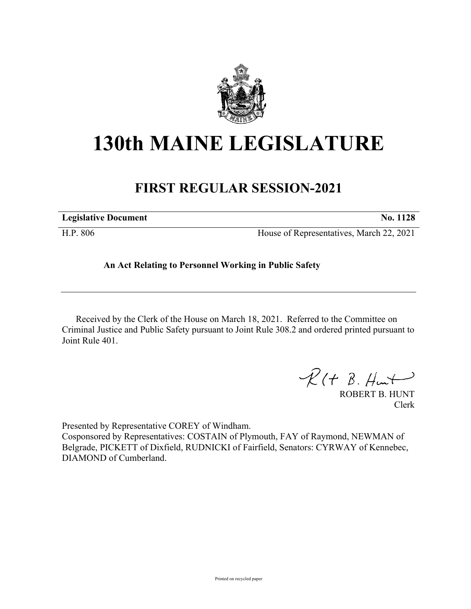

## **130th MAINE LEGISLATURE**

## **FIRST REGULAR SESSION-2021**

| <b>Legislative Document</b> |            |  | No. 1128 |
|-----------------------------|------------|--|----------|
| --------                    | $\sim$ $-$ |  | .        |

H.P. 806 House of Representatives, March 22, 2021

## **An Act Relating to Personnel Working in Public Safety**

Received by the Clerk of the House on March 18, 2021. Referred to the Committee on Criminal Justice and Public Safety pursuant to Joint Rule 308.2 and ordered printed pursuant to Joint Rule 401.

 $R(H B. H<sub>un</sub>)$ 

ROBERT B. HUNT Clerk

Presented by Representative COREY of Windham.

Cosponsored by Representatives: COSTAIN of Plymouth, FAY of Raymond, NEWMAN of Belgrade, PICKETT of Dixfield, RUDNICKI of Fairfield, Senators: CYRWAY of Kennebec, DIAMOND of Cumberland.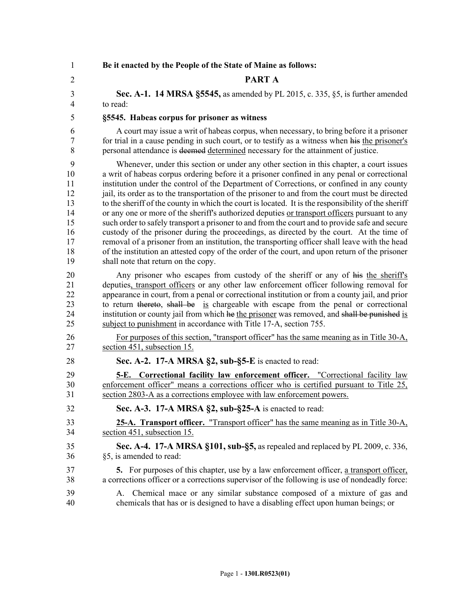| $\mathbf{1}$   | Be it enacted by the People of the State of Maine as follows:                                                                                                       |
|----------------|---------------------------------------------------------------------------------------------------------------------------------------------------------------------|
| $\overline{2}$ | PART A                                                                                                                                                              |
| 3              | <b>Sec. A-1. 14 MRSA §5545, as amended by PL 2015, c. 335, §5, is further amended</b>                                                                               |
| $\overline{4}$ | to read:                                                                                                                                                            |
| 5              | §5545. Habeas corpus for prisoner as witness                                                                                                                        |
| 6              | A court may issue a writ of habeas corpus, when necessary, to bring before it a prisoner                                                                            |
| 7              | for trial in a cause pending in such court, or to testify as a witness when his the prisoner's                                                                      |
| 8              | personal attendance is deemed determined necessary for the attainment of justice.                                                                                   |
| 9              | Whenever, under this section or under any other section in this chapter, a court issues                                                                             |
| 10             | a writ of habeas corpus ordering before it a prisoner confined in any penal or correctional                                                                         |
| 11             | institution under the control of the Department of Corrections, or confined in any county                                                                           |
| 12             | jail, its order as to the transportation of the prisoner to and from the court must be directed                                                                     |
| 13             | to the sheriff of the county in which the court is located. It is the responsibility of the sheriff                                                                 |
| 14             | or any one or more of the sheriff's authorized deputies or transport officers pursuant to any                                                                       |
| 15             | such order to safely transport a prisoner to and from the court and to provide safe and secure                                                                      |
| 16             | custody of the prisoner during the proceedings, as directed by the court. At the time of                                                                            |
| 17             | removal of a prisoner from an institution, the transporting officer shall leave with the head                                                                       |
| 18             | of the institution an attested copy of the order of the court, and upon return of the prisoner                                                                      |
| 19             | shall note that return on the copy.                                                                                                                                 |
| 20             | Any prisoner who escapes from custody of the sheriff or any of his the sheriff's                                                                                    |
| 21             | deputies, transport officers or any other law enforcement officer following removal for                                                                             |
| 22             | appearance in court, from a penal or correctional institution or from a county jail, and prior                                                                      |
| 23             | to return thereto, shall be is chargeable with escape from the penal or correctional                                                                                |
| 24             | institution or county jail from which he the prisoner was removed, and shall be punished is                                                                         |
| 25             | subject to punishment in accordance with Title 17-A, section 755.                                                                                                   |
| 26             | For purposes of this section, "transport officer" has the same meaning as in Title 30-A,                                                                            |
| 27             | section 451, subsection 15.                                                                                                                                         |
| 28             | Sec. A-2. 17-A MRSA §2, sub-§5-E is enacted to read:                                                                                                                |
| 29             | <b>5-E.</b> Correctional facility law enforcement officer. "Correctional facility law                                                                               |
| 30             | enforcement officer" means a corrections officer who is certified pursuant to Title 25,                                                                             |
| 31             | section 2803-A as a corrections employee with law enforcement powers.                                                                                               |
| 32             | Sec. A-3. 17-A MRSA §2, sub-§25-A is enacted to read:                                                                                                               |
| 33             | 25-A. Transport officer. "Transport officer" has the same meaning as in Title 30-A.                                                                                 |
| 34             | section 451, subsection 15.                                                                                                                                         |
| 35             | Sec. A-4. 17-A MRSA §101, sub-§5, as repealed and replaced by PL 2009, c. 336,                                                                                      |
| 36             | §5, is amended to read:                                                                                                                                             |
| 37             | 5. For purposes of this chapter, use by a law enforcement officer, a transport officer,                                                                             |
| 38             | a corrections officer or a corrections supervisor of the following is use of nondeadly force:                                                                       |
| 39<br>40       | Chemical mace or any similar substance composed of a mixture of gas and<br>A.<br>chemicals that has or is designed to have a disabling effect upon human beings; or |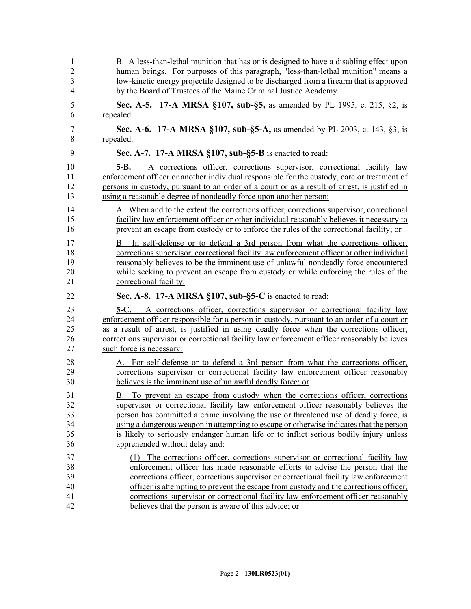| $\overline{2}$<br>3<br>4   | B. A less-than-lethal munition that has or is designed to have a disabling effect upon<br>human beings. For purposes of this paragraph, "less-than-lethal munition" means a<br>low-kinetic energy projectile designed to be discharged from a firearm that is approved<br>by the Board of Trustees of the Maine Criminal Justice Academy.                                              |
|----------------------------|----------------------------------------------------------------------------------------------------------------------------------------------------------------------------------------------------------------------------------------------------------------------------------------------------------------------------------------------------------------------------------------|
| 5                          | Sec. A-5. 17-A MRSA §107, sub-§5, as amended by PL 1995, c. 215, §2, is                                                                                                                                                                                                                                                                                                                |
| 6                          | repealed.                                                                                                                                                                                                                                                                                                                                                                              |
| 7                          | Sec. A-6. 17-A MRSA §107, sub-§5-A, as amended by PL 2003, c. 143, §3, is                                                                                                                                                                                                                                                                                                              |
| 8                          | repealed.                                                                                                                                                                                                                                                                                                                                                                              |
| 9                          | Sec. A-7. 17-A MRSA §107, sub-§5-B is enacted to read:                                                                                                                                                                                                                                                                                                                                 |
| 10<br>11<br>12<br>13       | A corrections officer, corrections supervisor, correctional facility law<br>5-B.<br>enforcement officer or another individual responsible for the custody, care or treatment of<br>persons in custody, pursuant to an order of a court or as a result of arrest, is justified in<br>using a reasonable degree of nondeadly force upon another person:                                  |
| 14                         | A. When and to the extent the corrections officer, corrections supervisor, correctional                                                                                                                                                                                                                                                                                                |
| 15                         | facility law enforcement officer or other individual reasonably believes it necessary to                                                                                                                                                                                                                                                                                               |
| 16                         | prevent an escape from custody or to enforce the rules of the correctional facility; or                                                                                                                                                                                                                                                                                                |
| 17<br>18<br>19<br>20<br>21 | In self-defense or to defend a 3rd person from what the corrections officer,<br>B.<br>corrections supervisor, correctional facility law enforcement officer or other individual<br>reasonably believes to be the imminent use of unlawful nondeadly force encountered<br>while seeking to prevent an escape from custody or while enforcing the rules of the<br>correctional facility. |
| 22                         |                                                                                                                                                                                                                                                                                                                                                                                        |
|                            | Sec. A-8. 17-A MRSA §107, sub-§5-C is enacted to read:                                                                                                                                                                                                                                                                                                                                 |
| 23                         | <b>5-C.</b> A corrections officer, corrections supervisor or correctional facility law                                                                                                                                                                                                                                                                                                 |
| 24                         | enforcement officer responsible for a person in custody, pursuant to an order of a court or                                                                                                                                                                                                                                                                                            |
| 25                         | as a result of arrest, is justified in using deadly force when the corrections officer,                                                                                                                                                                                                                                                                                                |
| 26                         | corrections supervisor or correctional facility law enforcement officer reasonably believes                                                                                                                                                                                                                                                                                            |
| 27                         | such force is necessary:                                                                                                                                                                                                                                                                                                                                                               |
| 28                         | A. For self-defense or to defend a 3rd person from what the corrections officer,                                                                                                                                                                                                                                                                                                       |
| 29                         | corrections supervisor or correctional facility law enforcement officer reasonably                                                                                                                                                                                                                                                                                                     |
| 30                         | believes is the imminent use of unlawful deadly force; or                                                                                                                                                                                                                                                                                                                              |
| 31                         | B. To prevent an escape from custody when the corrections officer, corrections                                                                                                                                                                                                                                                                                                         |
| 32                         | supervisor or correctional facility law enforcement officer reasonably believes the                                                                                                                                                                                                                                                                                                    |
| 33                         | person has committed a crime involving the use or threatened use of deadly force, is                                                                                                                                                                                                                                                                                                   |
| 34                         | using a dangerous weapon in attempting to escape or otherwise indicates that the person                                                                                                                                                                                                                                                                                                |
| 35                         | is likely to seriously endanger human life or to inflict serious bodily injury unless                                                                                                                                                                                                                                                                                                  |
| 36                         | apprehended without delay and:                                                                                                                                                                                                                                                                                                                                                         |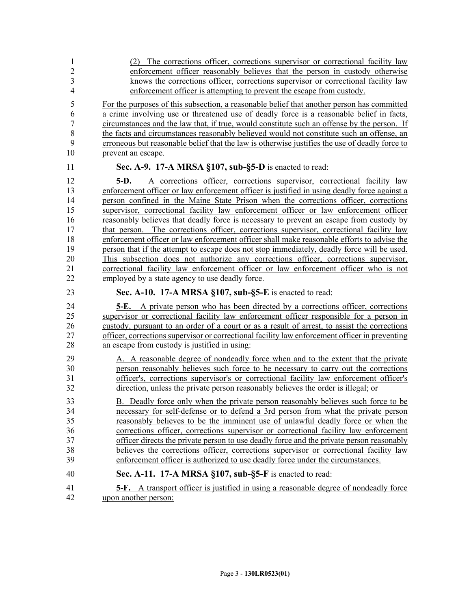| $\mathbf{1}$                                                   | (2) The corrections officer, corrections supervisor or correctional facility law                                                                                                                                                                                                                                                                                                                                                                                                                                                                                                                                                                                                                                                                                                                                                                                                                                                                                                  |
|----------------------------------------------------------------|-----------------------------------------------------------------------------------------------------------------------------------------------------------------------------------------------------------------------------------------------------------------------------------------------------------------------------------------------------------------------------------------------------------------------------------------------------------------------------------------------------------------------------------------------------------------------------------------------------------------------------------------------------------------------------------------------------------------------------------------------------------------------------------------------------------------------------------------------------------------------------------------------------------------------------------------------------------------------------------|
| $\overline{c}$                                                 | enforcement officer reasonably believes that the person in custody otherwise                                                                                                                                                                                                                                                                                                                                                                                                                                                                                                                                                                                                                                                                                                                                                                                                                                                                                                      |
| 3                                                              | knows the corrections officer, corrections supervisor or correctional facility law                                                                                                                                                                                                                                                                                                                                                                                                                                                                                                                                                                                                                                                                                                                                                                                                                                                                                                |
| 4                                                              | enforcement officer is attempting to prevent the escape from custody.                                                                                                                                                                                                                                                                                                                                                                                                                                                                                                                                                                                                                                                                                                                                                                                                                                                                                                             |
| 5                                                              | For the purposes of this subsection, a reasonable belief that another person has committed                                                                                                                                                                                                                                                                                                                                                                                                                                                                                                                                                                                                                                                                                                                                                                                                                                                                                        |
| 6                                                              | a crime involving use or threatened use of deadly force is a reasonable belief in facts,                                                                                                                                                                                                                                                                                                                                                                                                                                                                                                                                                                                                                                                                                                                                                                                                                                                                                          |
| 7                                                              | circumstances and the law that, if true, would constitute such an offense by the person. If                                                                                                                                                                                                                                                                                                                                                                                                                                                                                                                                                                                                                                                                                                                                                                                                                                                                                       |
| 8                                                              | the facts and circumstances reasonably believed would not constitute such an offense, an                                                                                                                                                                                                                                                                                                                                                                                                                                                                                                                                                                                                                                                                                                                                                                                                                                                                                          |
| 9                                                              | erroneous but reasonable belief that the law is otherwise justifies the use of deadly force to                                                                                                                                                                                                                                                                                                                                                                                                                                                                                                                                                                                                                                                                                                                                                                                                                                                                                    |
| 10                                                             | prevent an escape.                                                                                                                                                                                                                                                                                                                                                                                                                                                                                                                                                                                                                                                                                                                                                                                                                                                                                                                                                                |
| 11                                                             | Sec. A-9. 17-A MRSA §107, sub-§5-D is enacted to read:                                                                                                                                                                                                                                                                                                                                                                                                                                                                                                                                                                                                                                                                                                                                                                                                                                                                                                                            |
| 12<br>13<br>14<br>15<br>16<br>17<br>18<br>19<br>20<br>21<br>22 | A corrections officer, corrections supervisor, correctional facility law<br>5-D.<br>enforcement officer or law enforcement officer is justified in using deadly force against a<br>person confined in the Maine State Prison when the corrections officer, corrections<br>supervisor, correctional facility law enforcement officer or law enforcement officer<br>reasonably believes that deadly force is necessary to prevent an escape from custody by<br>that person. The corrections officer, corrections supervisor, correctional facility law<br>enforcement officer or law enforcement officer shall make reasonable efforts to advise the<br>person that if the attempt to escape does not stop immediately, deadly force will be used.<br>This subsection does not authorize any corrections officer, corrections supervisor,<br>correctional facility law enforcement officer or law enforcement officer who is not<br>employed by a state agency to use deadly force. |
| 23                                                             | Sec. A-10. 17-A MRSA §107, sub-§5-E is enacted to read:                                                                                                                                                                                                                                                                                                                                                                                                                                                                                                                                                                                                                                                                                                                                                                                                                                                                                                                           |
|                                                                |                                                                                                                                                                                                                                                                                                                                                                                                                                                                                                                                                                                                                                                                                                                                                                                                                                                                                                                                                                                   |
| 24<br>25<br>26<br>27<br>28                                     | <b>5-E.</b> A private person who has been directed by a corrections officer, corrections<br>supervisor or correctional facility law enforcement officer responsible for a person in<br>custody, pursuant to an order of a court or as a result of arrest, to assist the corrections<br>officer, corrections supervisor or correctional facility law enforcement officer in preventing                                                                                                                                                                                                                                                                                                                                                                                                                                                                                                                                                                                             |
| 29<br>30<br>31<br>32                                           | an escape from custody is justified in using:<br>A. A reasonable degree of nondeadly force when and to the extent that the private<br>person reasonably believes such force to be necessary to carry out the corrections<br>officer's, corrections supervisor's or correctional facility law enforcement officer's<br>direction, unless the private person reasonably believes the order is illegal; or                                                                                                                                                                                                                                                                                                                                                                                                                                                                                                                                                                           |
| 33                                                             | B. Deadly force only when the private person reasonably believes such force to be                                                                                                                                                                                                                                                                                                                                                                                                                                                                                                                                                                                                                                                                                                                                                                                                                                                                                                 |
| 34                                                             | necessary for self-defense or to defend a 3rd person from what the private person                                                                                                                                                                                                                                                                                                                                                                                                                                                                                                                                                                                                                                                                                                                                                                                                                                                                                                 |
| 35                                                             | reasonably believes to be the imminent use of unlawful deadly force or when the                                                                                                                                                                                                                                                                                                                                                                                                                                                                                                                                                                                                                                                                                                                                                                                                                                                                                                   |
| 36                                                             | corrections officer, corrections supervisor or correctional facility law enforcement                                                                                                                                                                                                                                                                                                                                                                                                                                                                                                                                                                                                                                                                                                                                                                                                                                                                                              |
| 37                                                             | officer directs the private person to use deadly force and the private person reasonably                                                                                                                                                                                                                                                                                                                                                                                                                                                                                                                                                                                                                                                                                                                                                                                                                                                                                          |
| 38                                                             | believes the corrections officer, corrections supervisor or correctional facility law                                                                                                                                                                                                                                                                                                                                                                                                                                                                                                                                                                                                                                                                                                                                                                                                                                                                                             |
| 39                                                             | enforcement officer is authorized to use deadly force under the circumstances.                                                                                                                                                                                                                                                                                                                                                                                                                                                                                                                                                                                                                                                                                                                                                                                                                                                                                                    |
| 40                                                             | Sec. A-11. 17-A MRSA $\S107$ , sub- $\S5$ -F is enacted to read:                                                                                                                                                                                                                                                                                                                                                                                                                                                                                                                                                                                                                                                                                                                                                                                                                                                                                                                  |
| 41                                                             | <b>5-F.</b> A transport officer is justified in using a reasonable degree of nondeadly force                                                                                                                                                                                                                                                                                                                                                                                                                                                                                                                                                                                                                                                                                                                                                                                                                                                                                      |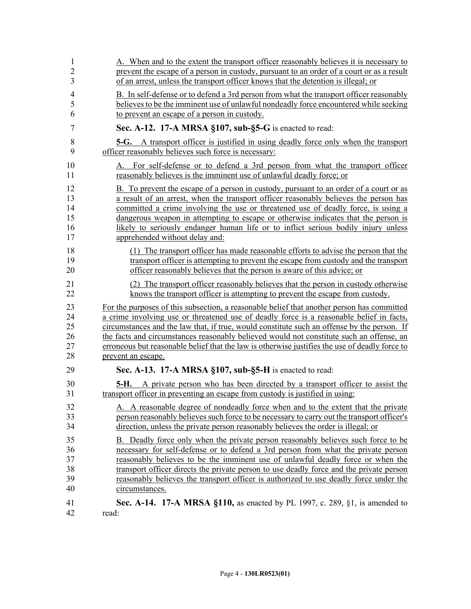| 1              | A. When and to the extent the transport officer reasonably believes it is necessary to                                                                   |
|----------------|----------------------------------------------------------------------------------------------------------------------------------------------------------|
| $\overline{2}$ | prevent the escape of a person in custody, pursuant to an order of a court or as a result                                                                |
| 3              | of an arrest, unless the transport officer knows that the detention is illegal; or                                                                       |
| $\overline{4}$ | B. In self-defense or to defend a 3rd person from what the transport officer reasonably                                                                  |
| 5              | believes to be the imminent use of unlawful nondeadly force encountered while seeking                                                                    |
| 6              | to prevent an escape of a person in custody.                                                                                                             |
| 7              | Sec. A-12. 17-A MRSA §107, sub-§5-G is enacted to read:                                                                                                  |
| 8              | <b>5-G.</b> A transport officer is justified in using deadly force only when the transport                                                               |
| 9              | officer reasonably believes such force is necessary:                                                                                                     |
| 10<br>11       | For self-defense or to defend a 3rd person from what the transport officer<br>А.<br>reasonably believes is the imminent use of unlawful deadly force; or |
| 12             | B. To prevent the escape of a person in custody, pursuant to an order of a court or as                                                                   |
| 13             | a result of an arrest, when the transport officer reasonably believes the person has                                                                     |
| 14             | committed a crime involving the use or threatened use of deadly force, is using a                                                                        |
| 15             | dangerous weapon in attempting to escape or otherwise indicates that the person is                                                                       |
| 16             | likely to seriously endanger human life or to inflict serious bodily injury unless                                                                       |
| 17             | apprehended without delay and:                                                                                                                           |
| 18             | (1) The transport officer has made reasonable efforts to advise the person that the                                                                      |
| 19             | transport officer is attempting to prevent the escape from custody and the transport                                                                     |
| 20             | officer reasonably believes that the person is aware of this advice; or                                                                                  |
| 21             | (2) The transport officer reasonably believes that the person in custody otherwise                                                                       |
| 22             | knows the transport officer is attempting to prevent the escape from custody.                                                                            |
| 23             | For the purposes of this subsection, a reasonable belief that another person has committed                                                               |
| 24             | a crime involving use or threatened use of deadly force is a reasonable belief in facts,                                                                 |
| 25             | circumstances and the law that, if true, would constitute such an offense by the person. If                                                              |
| 26             | the facts and circumstances reasonably believed would not constitute such an offense, an                                                                 |
| 27             | erroneous but reasonable belief that the law is otherwise justifies the use of deadly force to                                                           |
| 28             | prevent an escape.                                                                                                                                       |
| 29             | Sec. A-13. 17-A MRSA §107, sub-§5-H is enacted to read:                                                                                                  |
| 30             | <b>5-H.</b> A private person who has been directed by a transport officer to assist the                                                                  |
| 31             | transport officer in preventing an escape from custody is justified in using:                                                                            |
| 32             | A. A reasonable degree of nondeadly force when and to the extent that the private                                                                        |
| 33             | person reasonably believes such force to be necessary to carry out the transport officer's                                                               |
| 34             | direction, unless the private person reasonably believes the order is illegal; or                                                                        |
| 35             | B. Deadly force only when the private person reasonably believes such force to be                                                                        |
| 36             | necessary for self-defense or to defend a 3rd person from what the private person                                                                        |
| 37             | reasonably believes to be the imminent use of unlawful deadly force or when the                                                                          |
| 38             | transport officer directs the private person to use deadly force and the private person                                                                  |
| 39             | reasonably believes the transport officer is authorized to use deadly force under the                                                                    |
| 40             | circumstances.                                                                                                                                           |
| 41             | <b>Sec. A-14. 17-A MRSA §110, as enacted by PL 1997, c. 289, §1, is amended to</b>                                                                       |
| 42             | read:                                                                                                                                                    |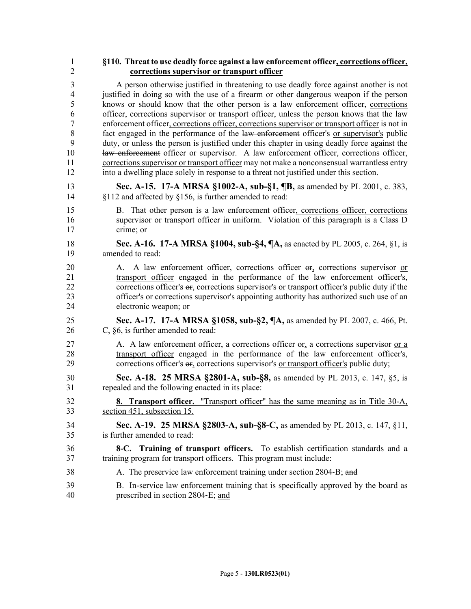## 1 **§110. Threat to use deadly force against a law enforcement officer, corrections officer,**  2 **corrections supervisor or transport officer**

3 A person otherwise justified in threatening to use deadly force against another is not 4 justified in doing so with the use of a firearm or other dangerous weapon if the person 5 knows or should know that the other person is a law enforcement officer, corrections 6 officer, corrections supervisor or transport officer, unless the person knows that the law 7 enforcement officer, corrections officer, corrections supervisor or transport officer is not in 8 fact engaged in the performance of the law enforcement officer's or supervisor's public 9 duty, or unless the person is justified under this chapter in using deadly force against the 10 law enforcement officer or supervisor. A law enforcement officer, corrections officer, 11 corrections supervisor or transport officer may not make a nonconsensual warrantless entry 12 into a dwelling place solely in response to a threat not justified under this section.

- 13 **Sec. A-15. 17-A MRSA §1002-A, sub-§1, ¶B,** as amended by PL 2001, c. 383, 14 §112 and affected by §156, is further amended to read:
- 15 B. That other person is a law enforcement officer, corrections officer, corrections 16 supervisor or transport officer in uniform. Violation of this paragraph is a Class D 17 crime; or
- 18 **Sec. A-16. 17-A MRSA §1004, sub-§4, ¶A,** as enacted by PL 2005, c. 264, §1, is 19 amended to read:
- 20 A. A law enforcement officer, corrections officer or, corrections supervisor or 21 transport officer engaged in the performance of the law enforcement officer's, 22 corrections officer's or, corrections supervisor's or transport officer's public duty if the 23 officer's or corrections supervisor's appointing authority has authorized such use of an 24 electronic weapon; or
- 25 **Sec. A-17. 17-A MRSA §1058, sub-§2, ¶A,** as amended by PL 2007, c. 466, Pt. 26 C, §6, is further amended to read:
- 27 A. A law enforcement officer, a corrections officer  $\Theta$ , a corrections supervisor or a 28 transport officer engaged in the performance of the law enforcement officer's, 29 corrections officer's  $\Theta$ <sub>5</sub> corrections supervisor's <u>or transport officer's</u> public duty;
- 30 **Sec. A-18. 25 MRSA §2801-A, sub-§8,** as amended by PL 2013, c. 147, §5, is 31 repealed and the following enacted in its place:
- 32 **8. Transport officer.** "Transport officer" has the same meaning as in Title 30-A, 33 section 451, subsection 15.
- 34 **Sec. A-19. 25 MRSA §2803-A, sub-§8-C,** as amended by PL 2013, c. 147, §11, 35 is further amended to read:
- 36 **8-C. Training of transport officers.** To establish certification standards and a 37 training program for transport officers. This program must include:
- 38 A. The preservice law enforcement training under section 2804–B; and
- 39 B. In-service law enforcement training that is specifically approved by the board as 40 prescribed in section 2804‑E; and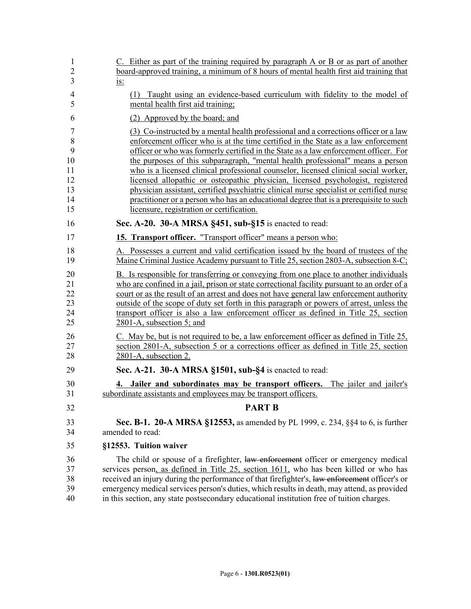| $\mathbf{1}$<br>$\overline{2}$ | C. Either as part of the training required by paragraph A or B or as part of another<br>board-approved training, a minimum of 8 hours of mental health first aid training that           |
|--------------------------------|------------------------------------------------------------------------------------------------------------------------------------------------------------------------------------------|
| 3                              | <u>is:</u>                                                                                                                                                                               |
| $\overline{4}$<br>5            | (1) Taught using an evidence-based curriculum with fidelity to the model of<br>mental health first aid training;                                                                         |
| 6                              | (2) Approved by the board; and                                                                                                                                                           |
| 7                              | (3) Co-instructed by a mental health professional and a corrections officer or a law                                                                                                     |
| 8<br>9                         | enforcement officer who is at the time certified in the State as a law enforcement<br>officer or who was formerly certified in the State as a law enforcement officer. For               |
| 10                             | the purposes of this subparagraph, "mental health professional" means a person                                                                                                           |
| 11                             | who is a licensed clinical professional counselor, licensed clinical social worker,                                                                                                      |
| 12                             | licensed allopathic or osteopathic physician, licensed psychologist, registered                                                                                                          |
| 13                             | physician assistant, certified psychiatric clinical nurse specialist or certified nurse                                                                                                  |
| 14<br>15                       | practitioner or a person who has an educational degree that is a prerequisite to such<br>licensure, registration or certification.                                                       |
| 16                             | Sec. A-20. 30-A MRSA §451, sub-§15 is enacted to read:                                                                                                                                   |
| 17                             | 15. Transport officer. "Transport officer" means a person who:                                                                                                                           |
| 18                             | A. Possesses a current and valid certification issued by the board of trustees of the                                                                                                    |
| 19                             | Maine Criminal Justice Academy pursuant to Title 25, section 2803-A, subsection 8-C;                                                                                                     |
| 20                             | B. Is responsible for transferring or conveying from one place to another individuals                                                                                                    |
| 21                             | who are confined in a jail, prison or state correctional facility pursuant to an order of a                                                                                              |
| 22<br>23                       | court or as the result of an arrest and does not have general law enforcement authority<br>outside of the scope of duty set forth in this paragraph or powers of arrest, unless the      |
| 24                             | transport officer is also a law enforcement officer as defined in Title 25, section                                                                                                      |
| 25                             | 2801-A, subsection 5; and                                                                                                                                                                |
| 26                             | C. May be, but is not required to be, a law enforcement officer as defined in Title 25,                                                                                                  |
| 27                             | section 2801-A, subsection 5 or a corrections officer as defined in Title 25, section                                                                                                    |
| 28                             | 2801-A, subsection 2.                                                                                                                                                                    |
| 29                             | Sec. A-21. 30-A MRSA §1501, sub-§4 is enacted to read:                                                                                                                                   |
| 30                             | 4. Jailer and subordinates may be transport officers.<br>The jailer and jailer's                                                                                                         |
| 31                             | subordinate assistants and employees may be transport officers.                                                                                                                          |
| 32                             | <b>PART B</b>                                                                                                                                                                            |
| 33                             | <b>Sec. B-1. 20-A MRSA §12553, as amended by PL 1999, c. 234, §§4 to 6, is further</b>                                                                                                   |
| 34                             | amended to read:                                                                                                                                                                         |
| 35                             | §12553. Tuition waiver                                                                                                                                                                   |
| 36                             | The child or spouse of a firefighter, law enforcement officer or emergency medical                                                                                                       |
| 37                             | services person, as defined in Title 25, section 1611, who has been killed or who has                                                                                                    |
| 38                             | received an injury during the performance of that firefighter's, law enforcement officer's or                                                                                            |
| 39<br>40                       | emergency medical services person's duties, which results in death, may attend, as provided<br>in this section, any state postsecondary educational institution free of tuition charges. |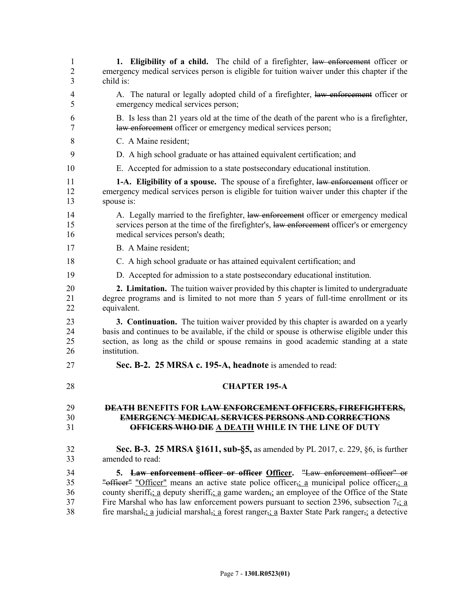| 1              | 1. Eligibility of a child. The child of a firefighter, law enforcement officer or                                                                  |
|----------------|----------------------------------------------------------------------------------------------------------------------------------------------------|
| $\overline{2}$ | emergency medical services person is eligible for tuition waiver under this chapter if the                                                         |
| 3              | child is:                                                                                                                                          |
| 4              | A. The natural or legally adopted child of a firefighter, law enforcement officer or                                                               |
| 5              | emergency medical services person;                                                                                                                 |
| 6              | B. Is less than 21 years old at the time of the death of the parent who is a firefighter,                                                          |
| 7              | law enforcement officer or emergency medical services person;                                                                                      |
| 8              | C. A Maine resident;                                                                                                                               |
| 9              | D. A high school graduate or has attained equivalent certification; and                                                                            |
| 10             | E. Accepted for admission to a state postsecondary educational institution.                                                                        |
| 11             | 1-A. Eligibility of a spouse. The spouse of a firefighter, law enforcement officer or                                                              |
| 12             | emergency medical services person is eligible for tuition waiver under this chapter if the                                                         |
| 13             | spouse is:                                                                                                                                         |
| 14             | A. Legally married to the firefighter, law enforcement officer or emergency medical                                                                |
| 15             | services person at the time of the firefighter's, law enforcement officer's or emergency                                                           |
| 16             | medical services person's death;                                                                                                                   |
| 17             | B. A Maine resident;                                                                                                                               |
| 18             | C. A high school graduate or has attained equivalent certification; and                                                                            |
| 19             | D. Accepted for admission to a state postsecondary educational institution.                                                                        |
| 20             | 2. Limitation. The tuition waiver provided by this chapter is limited to undergraduate                                                             |
| 21             | degree programs and is limited to not more than 5 years of full-time enrollment or its                                                             |
| 22             | equivalent.                                                                                                                                        |
| 23             | <b>3. Continuation.</b> The tuition waiver provided by this chapter is awarded on a yearly                                                         |
| 24             | basis and continues to be available, if the child or spouse is otherwise eligible under this                                                       |
| 25             | section, as long as the child or spouse remains in good academic standing at a state                                                               |
| 26             | institution.                                                                                                                                       |
| 27             | Sec. B-2. 25 MRSA c. 195-A, headnote is amended to read:                                                                                           |
| 28             | <b>CHAPTER 195-A</b>                                                                                                                               |
| 29             | <b>DEATH BENEFITS FOR LAW ENFORCEMENT OFFICERS, FIREFIGHTERS,</b>                                                                                  |
| 30             | <b>EMERGENCY MEDICAL SERVICES PERSONS AND CORRECTIONS</b>                                                                                          |
| 31             | OFFICERS WHO DIE A DEATH WHILE IN THE LINE OF DUTY                                                                                                 |
| 32             | <b>Sec. B-3. 25 MRSA §1611, sub-§5, as amended by PL 2017, c. 229, §6, is further</b>                                                              |
| 33             | amended to read:                                                                                                                                   |
| 34             | 5. Law enforcement officer or officer Officer. "Law enforcement officer" or                                                                        |
| 35             | "officer" "Officer" means an active state police officer <sub>5</sub> : a municipal police officer <sub>5</sub> : a                                |
| 36             | county sheriff <sub>5</sub> ; a deputy sheriff <sub>5</sub> ; a game warden <sub>5</sub> ; an employee of the Office of the State                  |
| 37             | Fire Marshal who has law enforcement powers pursuant to section 2396, subsection $7\frac{1}{2}$ a                                                  |
| 38             | fire marshal <sub>5</sub> : a judicial marshal <sub>5</sub> : a forest ranger <sub>5</sub> : a Baxter State Park ranger <sub>5</sub> : a detective |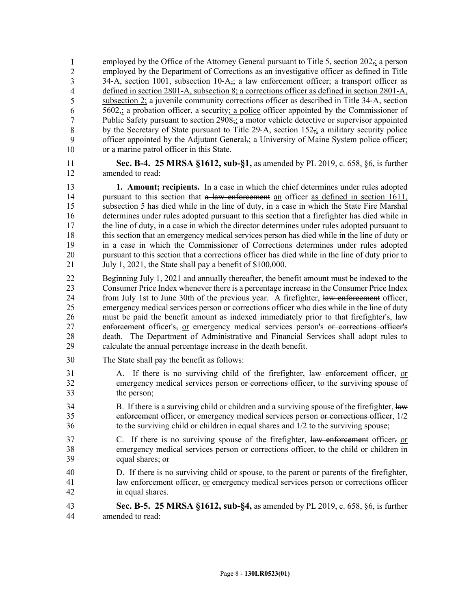employed by the Office of the Attorney General pursuant to Title 5, section  $202<sub>5</sub>$ ; a person 40 employed by the Department of Corrections as an investigative officer as defined in Title 34–A, section 1001, subsection 10– $A_{\tau}$ ; a law enforcement officer; a transport officer as defined in section 2801-A, subsection 8; a corrections officer as defined in section 2801-A, subsection 2; a juvenile community corrections officer as described in Title 34–A, section  $5602_{\overline{2}}$ ; a probation officer, a security; a police officer appointed by the Commissioner of Public Safety pursuant to section 2908<sub>5</sub>; a motor vehicle detective or supervisor appointed by the Secretary of State pursuant to Title 29–A, section  $152<sub>5</sub>$ ; a military security police officer appointed by the Adjutant General<sub>5</sub>; a University of Maine System police officer; or a marine patrol officer in this State. 1 2 3 4 5 6 7 8 9 10

- 11 **Sec. B-4. 25 MRSA §1612, sub-§1,** as amended by PL 2019, c. 658, §6, is further 12 amended to read:
- 13 **1. Amount; recipients.** In a case in which the chief determines under rules adopted 14 pursuant to this section that a law enforcement an officer as defined in section 1611, 15 subsection 5 has died while in the line of duty, in a case in which the State Fire Marshal 16 determines under rules adopted pursuant to this section that a firefighter has died while in 17 the line of duty, in a case in which the director determines under rules adopted pursuant to 18 this section that an emergency medical services person has died while in the line of duty or 19 in a case in which the Commissioner of Corrections determines under rules adopted 20 pursuant to this section that a corrections officer has died while in the line of duty prior to 21 July 1, 2021, the State shall pay a benefit of \$100,000.
- 22 Beginning July 1, 2021 and annually thereafter, the benefit amount must be indexed to the 23 Consumer Price Index whenever there is a percentage increase in the Consumer Price Index 24 from July 1st to June 30th of the previous year. A firefighter, law enforcement officer, 25 emergency medical services person or corrections officer who dies while in the line of duty 26 must be paid the benefit amount as indexed immediately prior to that firefighter's, law 27 enforcement officer's, or emergency medical services person's or corrections officer's 28 death. The Department of Administrative and Financial Services shall adopt rules to 29 calculate the annual percentage increase in the death benefit.
- 30 The State shall pay the benefit as follows:
- 31 A. If there is no surviving child of the firefighter, law enforcement officer, or 32 emergency medical services person or corrections officer, to the surviving spouse of 33 the person;
- 34 B. If there is a surviving child or children and a surviving spouse of the firefighter, law 35 enforcement officer, or emergency medical services person or corrections officer, 1/2 36 to the surviving child or children in equal shares and 1/2 to the surviving spouse;
- 37 C. If there is no surviving spouse of the firefighter, law enforcement officer, or 38 emergency medical services person or corrections officer, to the child or children in 39 equal shares; or
- 40 D. If there is no surviving child or spouse, to the parent or parents of the firefighter, 41 law enforcement officer, or emergency medical services person or corrections officer 42 in equal shares.
- 43 **Sec. B-5. 25 MRSA §1612, sub-§4,** as amended by PL 2019, c. 658, §6, is further 44 amended to read: